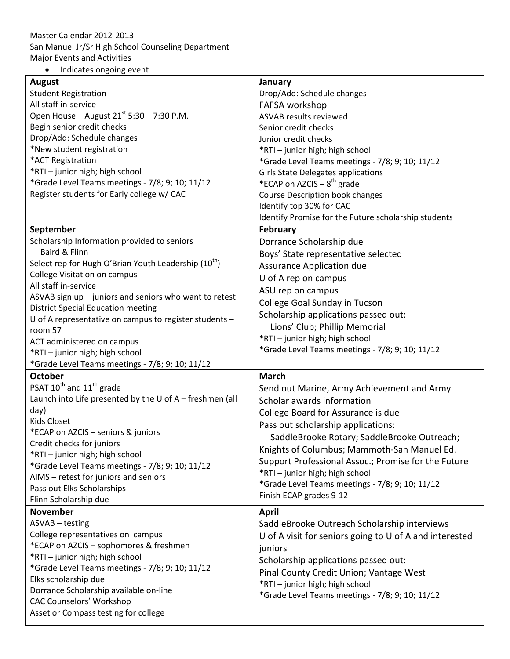## Master Calendar 2012-2013 San Manuel Jr/Sr High School Counseling Department Major Events and Activities

• Indicates ongoing event

| August                                                                    | January                                                 |
|---------------------------------------------------------------------------|---------------------------------------------------------|
| <b>Student Registration</b>                                               | Drop/Add: Schedule changes                              |
| All staff in-service                                                      | FAFSA workshop                                          |
| Open House - August 21 <sup>st</sup> 5:30 - 7:30 P.M.                     | ASVAB results reviewed                                  |
| Begin senior credit checks                                                | Senior credit checks                                    |
| Drop/Add: Schedule changes                                                | Junior credit checks                                    |
| *New student registration                                                 | *RTI - junior high; high school                         |
| *ACT Registration                                                         | *Grade Level Teams meetings - 7/8; 9; 10; 11/12         |
| *RTI-junior high; high school                                             | <b>Girls State Delegates applications</b>               |
| *Grade Level Teams meetings - 7/8; 9; 10; 11/12                           | *ECAP on AZCIS – $8^{th}$ grade                         |
| Register students for Early college w/ CAC                                | <b>Course Description book changes</b>                  |
|                                                                           | Identify top 30% for CAC                                |
|                                                                           | Identify Promise for the Future scholarship students    |
| September                                                                 | <b>February</b>                                         |
| Scholarship Information provided to seniors                               | Dorrance Scholarship due                                |
| Baird & Flinn                                                             | Boys' State representative selected                     |
| Select rep for Hugh O'Brian Youth Leadership (10 <sup>th</sup> )          | Assurance Application due                               |
| College Visitation on campus                                              | U of A rep on campus                                    |
| All staff in-service                                                      | ASU rep on campus                                       |
| ASVAB sign up - juniors and seniors who want to retest                    | College Goal Sunday in Tucson                           |
| <b>District Special Education meeting</b>                                 | Scholarship applications passed out:                    |
| U of A representative on campus to register students -                    | Lions' Club; Phillip Memorial                           |
| room 57                                                                   | *RTI - junior high; high school                         |
| ACT administered on campus                                                | *Grade Level Teams meetings - 7/8; 9; 10; 11/12         |
| *RTI-junior high; high school                                             |                                                         |
| *Grade Level Teams meetings - 7/8; 9; 10; 11/12                           |                                                         |
| <b>October</b>                                                            | <b>March</b>                                            |
| PSAT 10 <sup>th</sup> and 11 <sup>th</sup> grade                          | Send out Marine, Army Achievement and Army              |
| Launch into Life presented by the U of A - freshmen (all                  | Scholar awards information                              |
| day)                                                                      | College Board for Assurance is due                      |
| <b>Kids Closet</b>                                                        | Pass out scholarship applications:                      |
| *ECAP on AZCIS - seniors & juniors                                        | SaddleBrooke Rotary; SaddleBrooke Outreach;             |
| Credit checks for juniors                                                 | Knights of Columbus; Mammoth-San Manuel Ed.             |
| *RTI - junior high; high school                                           | Support Professional Assoc.; Promise for the Future     |
| *Grade Level Teams meetings - 7/8; 9; 10; 11/12                           | *RTI - junior high; high school                         |
| AIMS - retest for juniors and seniors                                     | *Grade Level Teams meetings - 7/8; 9; 10; 11/12         |
| Pass out Elks Scholarships                                                | Finish ECAP grades 9-12                                 |
| Flinn Scholarship due<br><b>November</b>                                  |                                                         |
| ASVAB - testing                                                           | <b>April</b>                                            |
| College representatives on campus                                         | SaddleBrooke Outreach Scholarship interviews            |
|                                                                           | U of A visit for seniors going to U of A and interested |
| *ECAP on AZCIS - sophomores & freshmen<br>*RTI - junior high; high school | juniors                                                 |
|                                                                           | Scholarship applications passed out:                    |
| *Grade Level Teams meetings - 7/8; 9; 10; 11/12<br>Elks scholarship due   | Pinal County Credit Union; Vantage West                 |
|                                                                           | *RTI - junior high; high school                         |
| Dorrance Scholarship available on-line<br><b>CAC Counselors' Workshop</b> | *Grade Level Teams meetings - 7/8; 9; 10; 11/12         |
| Asset or Compass testing for college                                      |                                                         |
|                                                                           |                                                         |